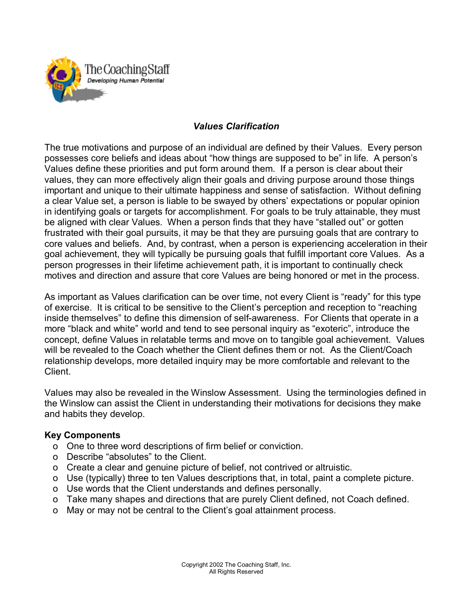

### *Values Clarification*

The true motivations and purpose of an individual are defined by their Values. Every person possesses core beliefs and ideas about "how things are supposed to be" in life. A person's Values define these priorities and put form around them. If a person is clear about their values, they can more effectively align their goals and driving purpose around those things important and unique to their ultimate happiness and sense of satisfaction. Without defining a clear Value set, a person is liable to be swayed by others' expectations or popular opinion in identifying goals or targets for accomplishment. For goals to be truly attainable, they must be aligned with clear Values. When a person finds that they have "stalled out" or gotten frustrated with their goal pursuits, it may be that they are pursuing goals that are contrary to core values and beliefs. And, by contrast, when a person is experiencing acceleration in their goal achievement, they will typically be pursuing goals that fulfill important core Values. As a person progresses in their lifetime achievement path, it is important to continually check motives and direction and assure that core Values are being honored or met in the process.

As important as Values clarification can be over time, not every Client is "ready" for this type of exercise. It is critical to be sensitive to the Client's perception and reception to "reaching inside themselves" to define this dimension of self-awareness. For Clients that operate in a more "black and white" world and tend to see personal inquiry as "exoteric", introduce the concept, define Values in relatable terms and move on to tangible goal achievement. Values will be revealed to the Coach whether the Client defines them or not. As the Client/Coach relationship develops, more detailed inquiry may be more comfortable and relevant to the **Client** 

Values may also be revealed in the Winslow Assessment. Using the terminologies defined in the Winslow can assist the Client in understanding their motivations for decisions they make and habits they develop.

#### **Key Components**

- o One to three word descriptions of firm belief or conviction.
- o Describe "absolutes" to the Client.
- o Create a clear and genuine picture of belief, not contrived or altruistic.
- o Use (typically) three to ten Values descriptions that, in total, paint a complete picture.
- o Use words that the Client understands and defines personally.
- o Take many shapes and directions that are purely Client defined, not Coach defined.
- o May or may not be central to the Client's goal attainment process.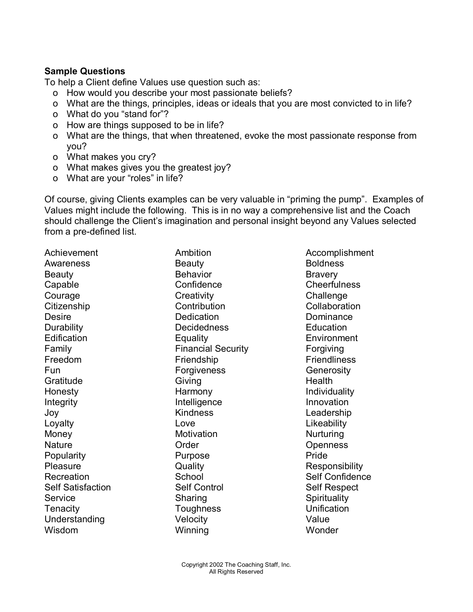#### **Sample Questions**

To help a Client define Values use question such as:

- o How would you describe your most passionate beliefs?
- o What are the things, principles, ideas or ideals that you are most convicted to in life?
- o What do you "stand for"?
- o How are things supposed to be in life?
- o What are the things, that when threatened, evoke the most passionate response from you?
- o What makes you cry?
- o What makes gives you the greatest joy?
- o What are your "roles" in life?

Of course, giving Clients examples can be very valuable in "priming the pump". Examples of Values might include the following. This is in no way a comprehensive list and the Coach should challenge the Client's imagination and personal insight beyond any Values selected from a pre-defined list.

Awareness Beauty Beauty Boldness Beauty **Behavior** Behavior **Bravery** Capable Confidence Confidence Cheerfulness Courage Creativity Creativity Challenge Citizenship Contribution Collaboration Desire Dedication Dominance Durability Decidedness Education Edification Equality Environment Family **Financial Security Financial Security Forgiving** Freedom **Friendship** Friendship Friendliness Fun **Forgiveness** Generosity Gratitude Giving Giving Health Honesty **Example 2** Harmony **Harmony Harmony Individuality** Integrity **Intelligence** Innovation Joy Kindness Leadership Loyalty Love Likeability Money **Motivation** Motivation **Nurturing** Nature Order Openness Popularity **Purpose** Purpose **Pride** Pleasure **Construction Construction Cuality** Responsibility Self Satisfaction Self Control Self Respect Service Sharing Sharing Service Spirituality Tenacity Toughness Unification Understanding Velocity Velocity Value Wisdom Winning Wonder

Achievement **Ambition** Ambition **Ambition** Accomplishment Recreation **School** School Self Confidence